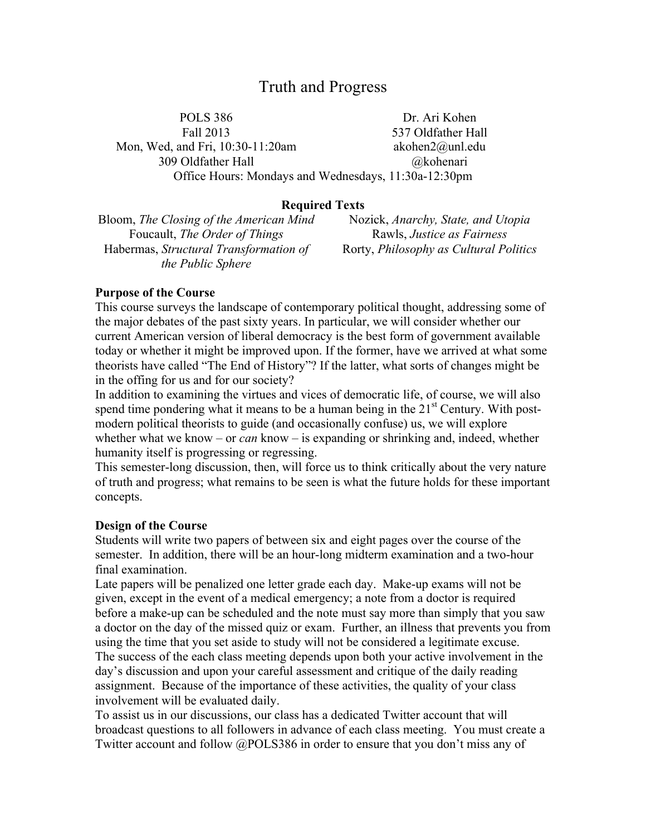# Truth and Progress

POLS 386 Dr. Ari Kohen Fall 2013 537 Oldfather Hall Mon, Wed, and Fri, 10:30-11:20am akohen2@unl.edu 309 Oldfather Hall @kohenari Office Hours: Mondays and Wednesdays, 11:30a-12:30pm

## **Required Texts**

Bloom, *The Closing of the American Mind* Nozick, *Anarchy, State, and Utopia* Foucault, *The Order of Things* Rawls, *Justice as Fairness* Habermas, *Structural Transformation of the Public Sphere*

Rorty, *Philosophy as Cultural Politics*

#### **Purpose of the Course**

This course surveys the landscape of contemporary political thought, addressing some of the major debates of the past sixty years. In particular, we will consider whether our current American version of liberal democracy is the best form of government available today or whether it might be improved upon. If the former, have we arrived at what some theorists have called "The End of History"? If the latter, what sorts of changes might be in the offing for us and for our society?

In addition to examining the virtues and vices of democratic life, of course, we will also spend time pondering what it means to be a human being in the  $21<sup>st</sup>$  Century. With postmodern political theorists to guide (and occasionally confuse) us, we will explore whether what we know – or *can* know – is expanding or shrinking and, indeed, whether humanity itself is progressing or regressing.

This semester-long discussion, then, will force us to think critically about the very nature of truth and progress; what remains to be seen is what the future holds for these important concepts.

#### **Design of the Course**

Students will write two papers of between six and eight pages over the course of the semester. In addition, there will be an hour-long midterm examination and a two-hour final examination.

Late papers will be penalized one letter grade each day. Make-up exams will not be given, except in the event of a medical emergency; a note from a doctor is required before a make-up can be scheduled and the note must say more than simply that you saw a doctor on the day of the missed quiz or exam. Further, an illness that prevents you from using the time that you set aside to study will not be considered a legitimate excuse. The success of the each class meeting depends upon both your active involvement in the day's discussion and upon your careful assessment and critique of the daily reading assignment. Because of the importance of these activities, the quality of your class involvement will be evaluated daily.

To assist us in our discussions, our class has a dedicated Twitter account that will broadcast questions to all followers in advance of each class meeting. You must create a Twitter account and follow @POLS386 in order to ensure that you don't miss any of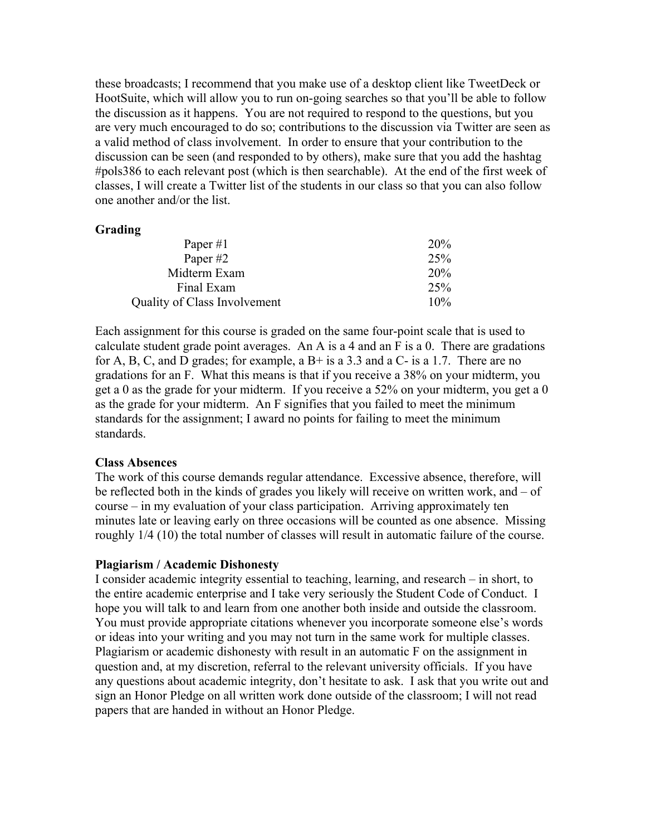these broadcasts; I recommend that you make use of a desktop client like TweetDeck or HootSuite, which will allow you to run on-going searches so that you'll be able to follow the discussion as it happens. You are not required to respond to the questions, but you are very much encouraged to do so; contributions to the discussion via Twitter are seen as a valid method of class involvement. In order to ensure that your contribution to the discussion can be seen (and responded to by others), make sure that you add the hashtag #pols386 to each relevant post (which is then searchable). At the end of the first week of classes, I will create a Twitter list of the students in our class so that you can also follow one another and/or the list.

#### **Grading**

| Paper $#1$                   | 20%    |
|------------------------------|--------|
| Paper #2                     | 25%    |
| Midterm Exam                 | 20%    |
| Final Exam                   | 25%    |
| Quality of Class Involvement | $10\%$ |
|                              |        |

Each assignment for this course is graded on the same four-point scale that is used to calculate student grade point averages. An A is a 4 and an F is a 0. There are gradations for A, B, C, and D grades; for example, a  $B+$  is a 3.3 and a  $C-$  is a 1.7. There are no gradations for an F. What this means is that if you receive a 38% on your midterm, you get a 0 as the grade for your midterm. If you receive a 52% on your midterm, you get a 0 as the grade for your midterm. An F signifies that you failed to meet the minimum standards for the assignment; I award no points for failing to meet the minimum standards.

#### **Class Absences**

The work of this course demands regular attendance. Excessive absence, therefore, will be reflected both in the kinds of grades you likely will receive on written work, and – of course – in my evaluation of your class participation. Arriving approximately ten minutes late or leaving early on three occasions will be counted as one absence. Missing roughly 1/4 (10) the total number of classes will result in automatic failure of the course.

## **Plagiarism / Academic Dishonesty**

I consider academic integrity essential to teaching, learning, and research – in short, to the entire academic enterprise and I take very seriously the Student Code of Conduct. I hope you will talk to and learn from one another both inside and outside the classroom. You must provide appropriate citations whenever you incorporate someone else's words or ideas into your writing and you may not turn in the same work for multiple classes. Plagiarism or academic dishonesty with result in an automatic F on the assignment in question and, at my discretion, referral to the relevant university officials. If you have any questions about academic integrity, don't hesitate to ask. I ask that you write out and sign an Honor Pledge on all written work done outside of the classroom; I will not read papers that are handed in without an Honor Pledge.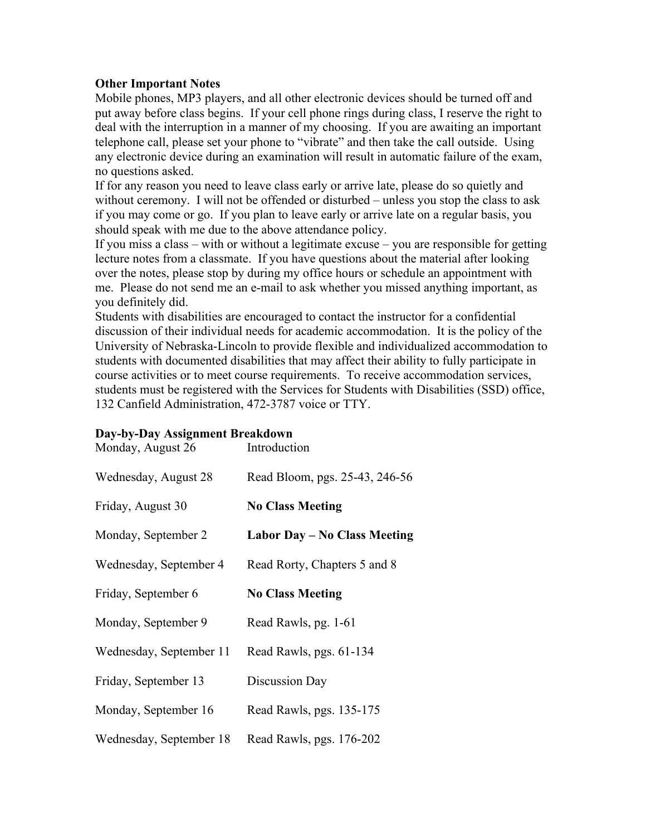# **Other Important Notes**

Mobile phones, MP3 players, and all other electronic devices should be turned off and put away before class begins. If your cell phone rings during class, I reserve the right to deal with the interruption in a manner of my choosing. If you are awaiting an important telephone call, please set your phone to "vibrate" and then take the call outside. Using any electronic device during an examination will result in automatic failure of the exam, no questions asked.

If for any reason you need to leave class early or arrive late, please do so quietly and without ceremony. I will not be offended or disturbed – unless you stop the class to ask if you may come or go. If you plan to leave early or arrive late on a regular basis, you should speak with me due to the above attendance policy.

If you miss a class – with or without a legitimate excuse – you are responsible for getting lecture notes from a classmate. If you have questions about the material after looking over the notes, please stop by during my office hours or schedule an appointment with me. Please do not send me an e-mail to ask whether you missed anything important, as you definitely did.

Students with disabilities are encouraged to contact the instructor for a confidential discussion of their individual needs for academic accommodation. It is the policy of the University of Nebraska-Lincoln to provide flexible and individualized accommodation to students with documented disabilities that may affect their ability to fully participate in course activities or to meet course requirements. To receive accommodation services, students must be registered with the Services for Students with Disabilities (SSD) office, 132 Canfield Administration, 472-3787 voice or TTY.

# **Day-by-Day Assignment Breakdown**

| Monday, August 26       | Introduction                        |
|-------------------------|-------------------------------------|
| Wednesday, August 28    | Read Bloom, pgs. 25-43, 246-56      |
| Friday, August 30       | <b>No Class Meeting</b>             |
| Monday, September 2     | <b>Labor Day - No Class Meeting</b> |
| Wednesday, September 4  | Read Rorty, Chapters 5 and 8        |
| Friday, September 6     | <b>No Class Meeting</b>             |
| Monday, September 9     | Read Rawls, pg. 1-61                |
| Wednesday, September 11 | Read Rawls, pgs. 61-134             |
| Friday, September 13    | Discussion Day                      |
| Monday, September 16    | Read Rawls, pgs. 135-175            |
| Wednesday, September 18 | Read Rawls, pgs. 176-202            |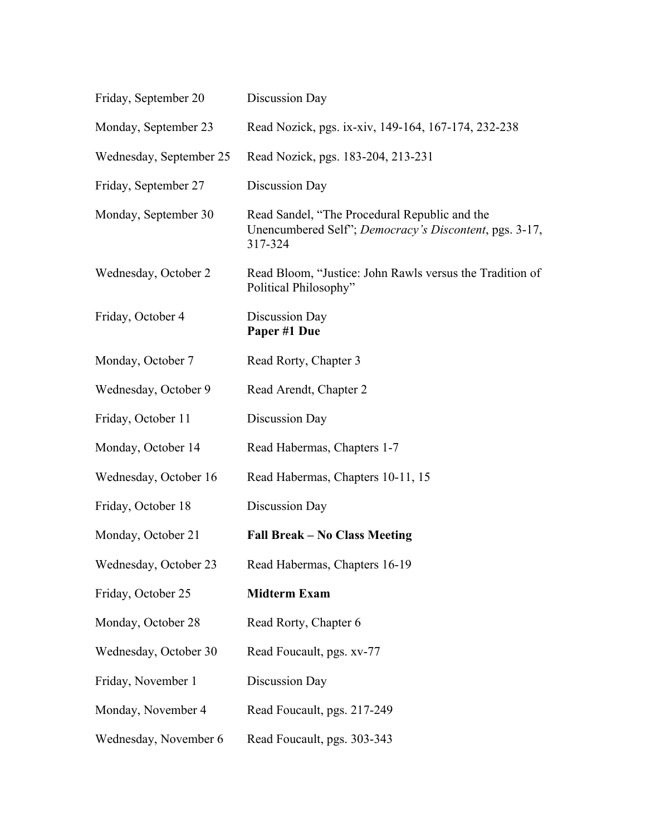| Friday, September 20    | Discussion Day                                                                                                     |
|-------------------------|--------------------------------------------------------------------------------------------------------------------|
| Monday, September 23    | Read Nozick, pgs. ix-xiv, 149-164, 167-174, 232-238                                                                |
| Wednesday, September 25 | Read Nozick, pgs. 183-204, 213-231                                                                                 |
| Friday, September 27    | Discussion Day                                                                                                     |
| Monday, September 30    | Read Sandel, "The Procedural Republic and the<br>Unencumbered Self"; Democracy's Discontent, pgs. 3-17,<br>317-324 |
| Wednesday, October 2    | Read Bloom, "Justice: John Rawls versus the Tradition of<br>Political Philosophy"                                  |
| Friday, October 4       | Discussion Day<br>Paper #1 Due                                                                                     |
| Monday, October 7       | Read Rorty, Chapter 3                                                                                              |
| Wednesday, October 9    | Read Arendt, Chapter 2                                                                                             |
| Friday, October 11      | Discussion Day                                                                                                     |
| Monday, October 14      | Read Habermas, Chapters 1-7                                                                                        |
| Wednesday, October 16   | Read Habermas, Chapters 10-11, 15                                                                                  |
| Friday, October 18      | Discussion Day                                                                                                     |
| Monday, October 21      | <b>Fall Break – No Class Meeting</b>                                                                               |
| Wednesday, October 23   | Read Habermas, Chapters 16-19                                                                                      |
| Friday, October 25      | <b>Midterm Exam</b>                                                                                                |
| Monday, October 28      | Read Rorty, Chapter 6                                                                                              |
| Wednesday, October 30   | Read Foucault, pgs. xv-77                                                                                          |
| Friday, November 1      | Discussion Day                                                                                                     |
| Monday, November 4      | Read Foucault, pgs. 217-249                                                                                        |
| Wednesday, November 6   | Read Foucault, pgs. 303-343                                                                                        |